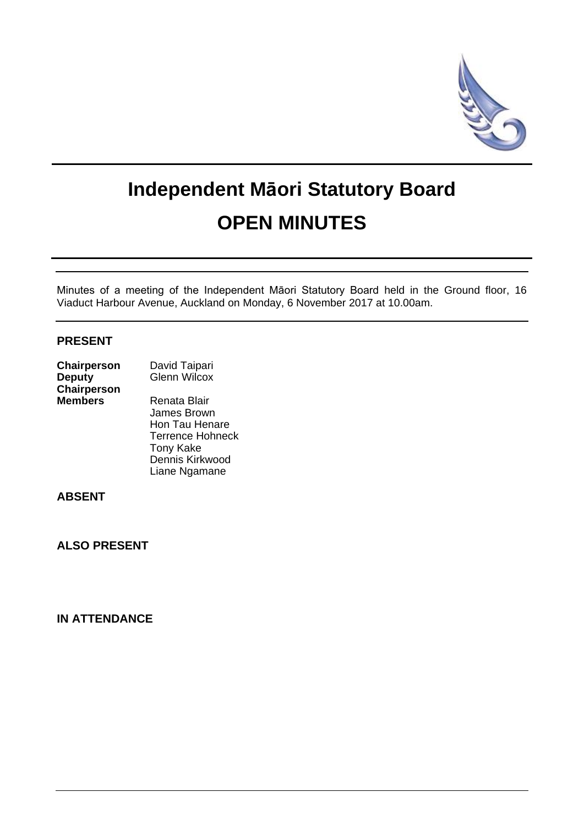

# **Independent Māori Statutory Board OPEN MINUTES**

Minutes of a meeting of the Independent Māori Statutory Board held in the Ground floor, 16 Viaduct Harbour Avenue, Auckland on Monday, 6 November 2017 at 10.00am.

# **PRESENT**

| <b>Chairperson</b> | David Taipari       |  |
|--------------------|---------------------|--|
| <b>Deputy</b>      | <b>Glenn Wilcox</b> |  |
| <b>Chairperson</b> |                     |  |
| <b>Members</b>     | Renata Blair        |  |
|                    | James Brown         |  |

James Brown Hon Tau Henare Terrence Hohneck Tony Kake Dennis Kirkwood Liane Ngamane

## **ABSENT**

**ALSO PRESENT**

# **IN ATTENDANCE**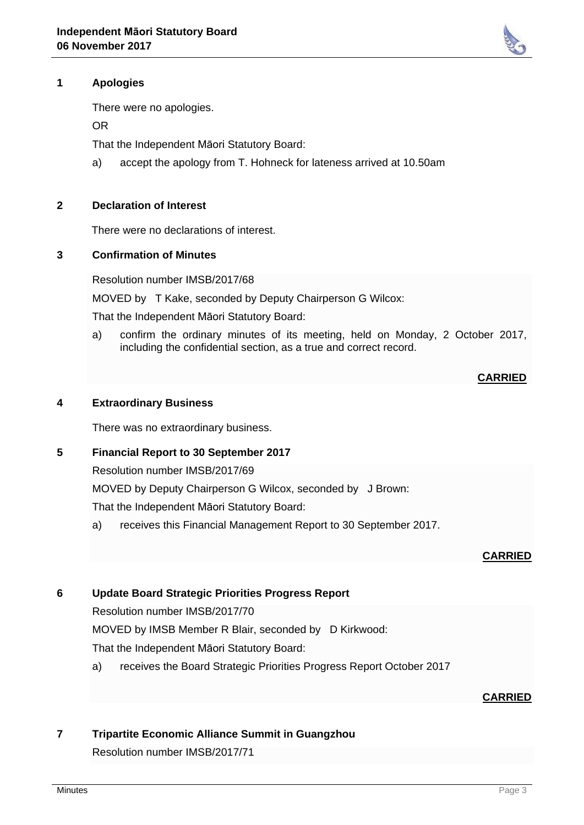

There were no apologies.

#### OR

That the Independent Māori Statutory Board:

a) accept the apology from T. Hohneck for lateness arrived at 10.50am

## **2 Declaration of Interest**

There were no declarations of interest.

# **3 Confirmation of Minutes**

Resolution number IMSB/2017/68

MOVED by T Kake, seconded by Deputy Chairperson G Wilcox:

That the Independent Māori Statutory Board:

a) confirm the ordinary minutes of its meeting, held on Monday, 2 October 2017, including the confidential section, as a true and correct record.

## **CARRIED**

# **4 Extraordinary Business**

There was no extraordinary business.

# **5 Financial Report to 30 September 2017**

Resolution number IMSB/2017/69

MOVED by Deputy Chairperson G Wilcox, seconded by J Brown:

That the Independent Māori Statutory Board:

a) receives this Financial Management Report to 30 September 2017.

## **CARRIED**

## **6 Update Board Strategic Priorities Progress Report**

Resolution number IMSB/2017/70

MOVED by IMSB Member R Blair, seconded by D Kirkwood:

That the Independent Māori Statutory Board:

a) receives the Board Strategic Priorities Progress Report October 2017

# **CARRIED**

# **7 Tripartite Economic Alliance Summit in Guangzhou**

Resolution number IMSB/2017/71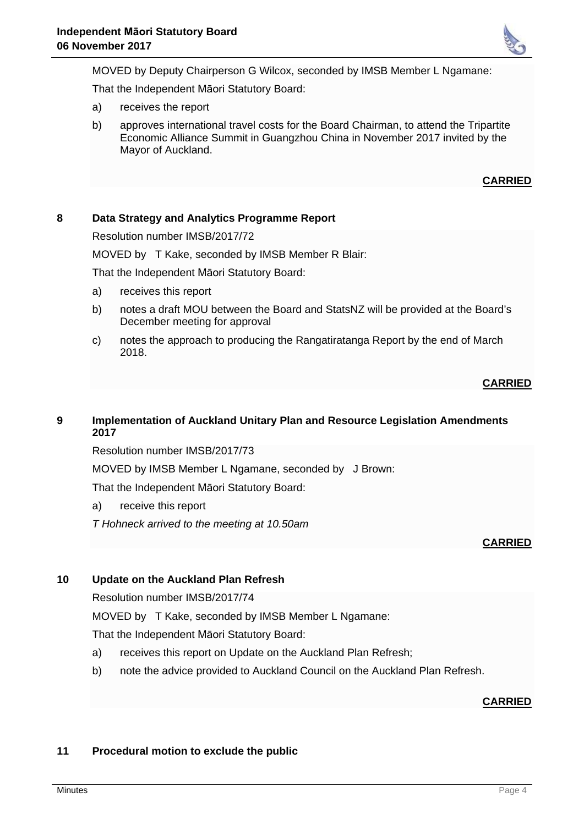

MOVED by Deputy Chairperson G Wilcox, seconded by IMSB Member L Ngamane:

That the Independent Māori Statutory Board:

- a) receives the report
- b) approves international travel costs for the Board Chairman, to attend the Tripartite Economic Alliance Summit in Guangzhou China in November 2017 invited by the Mayor of Auckland.

# **CARRIED**

# **8 Data Strategy and Analytics Programme Report**

Resolution number IMSB/2017/72

MOVED by T Kake, seconded by IMSB Member R Blair:

That the Independent Māori Statutory Board:

- a) receives this report
- b) notes a draft MOU between the Board and StatsNZ will be provided at the Board's December meeting for approval
- c) notes the approach to producing the Rangatiratanga Report by the end of March 2018.

# **CARRIED**

# **9 Implementation of Auckland Unitary Plan and Resource Legislation Amendments 2017**

Resolution number IMSB/2017/73

MOVED by IMSB Member L Ngamane, seconded by J Brown:

That the Independent Māori Statutory Board:

a) receive this report

*T Hohneck arrived to the meeting at 10.50am*

# **CARRIED**

# **10 Update on the Auckland Plan Refresh**

Resolution number IMSB/2017/74

MOVED by T Kake, seconded by IMSB Member L Ngamane:

That the Independent Māori Statutory Board:

- a) receives this report on Update on the Auckland Plan Refresh;
- b) note the advice provided to Auckland Council on the Auckland Plan Refresh.

# **CARRIED**

# **11 Procedural motion to exclude the public**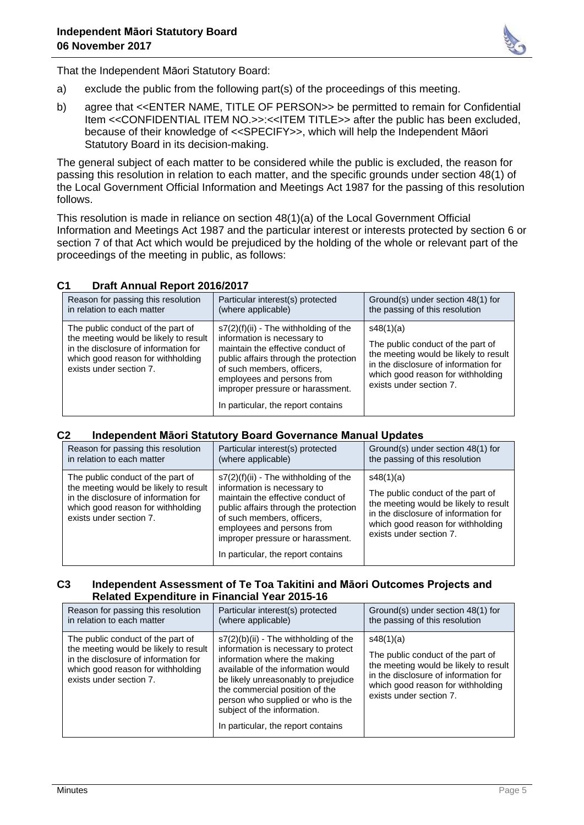

That the Independent Māori Statutory Board:

- a) exclude the public from the following part(s) of the proceedings of this meeting.
- b) agree that <<ENTER NAME, TITLE OF PERSON>> be permitted to remain for Confidential Item <<CONFIDENTIAL ITEM NO.>>:<<ITEM TITLE>> after the public has been excluded, because of their knowledge of <<SPECIFY>>, which will help the Independent Māori Statutory Board in its decision-making.

The general subject of each matter to be considered while the public is excluded, the reason for passing this resolution in relation to each matter, and the specific grounds under section 48(1) of the Local Government Official Information and Meetings Act 1987 for the passing of this resolution follows.

This resolution is made in reliance on section 48(1)(a) of the Local Government Official Information and Meetings Act 1987 and the particular interest or interests protected by section 6 or section 7 of that Act which would be prejudiced by the holding of the whole or relevant part of the proceedings of the meeting in public, as follows:

| Reason for passing this resolution                                                                                                                                                 | Particular interest(s) protected                                                                                                                                                                                                                                                           | Ground(s) under section 48(1) for                                                                                                                                                               |
|------------------------------------------------------------------------------------------------------------------------------------------------------------------------------------|--------------------------------------------------------------------------------------------------------------------------------------------------------------------------------------------------------------------------------------------------------------------------------------------|-------------------------------------------------------------------------------------------------------------------------------------------------------------------------------------------------|
| in relation to each matter                                                                                                                                                         | (where applicable)                                                                                                                                                                                                                                                                         | the passing of this resolution                                                                                                                                                                  |
| The public conduct of the part of<br>the meeting would be likely to result<br>in the disclosure of information for<br>which good reason for withholding<br>exists under section 7. | $s7(2)(f)(ii)$ - The withholding of the<br>information is necessary to<br>maintain the effective conduct of<br>public affairs through the protection<br>of such members, officers,<br>employees and persons from<br>improper pressure or harassment.<br>In particular, the report contains | s48(1)(a)<br>The public conduct of the part of<br>the meeting would be likely to result<br>in the disclosure of information for<br>which good reason for withholding<br>exists under section 7. |

# **C1 Draft Annual Report 2016/2017**

## **C2 Independent Māori Statutory Board Governance Manual Updates**

| Reason for passing this resolution<br>in relation to each matter                                                                                                                   | Particular interest(s) protected<br>(where applicable)                                                                                                                                                                                                                                     | Ground(s) under section 48(1) for<br>the passing of this resolution                                                                                                                             |
|------------------------------------------------------------------------------------------------------------------------------------------------------------------------------------|--------------------------------------------------------------------------------------------------------------------------------------------------------------------------------------------------------------------------------------------------------------------------------------------|-------------------------------------------------------------------------------------------------------------------------------------------------------------------------------------------------|
| The public conduct of the part of<br>the meeting would be likely to result<br>in the disclosure of information for<br>which good reason for withholding<br>exists under section 7. | $s7(2)(f)(ii)$ - The withholding of the<br>information is necessary to<br>maintain the effective conduct of<br>public affairs through the protection<br>of such members, officers,<br>employees and persons from<br>improper pressure or harassment.<br>In particular, the report contains | s48(1)(a)<br>The public conduct of the part of<br>the meeting would be likely to result<br>in the disclosure of information for<br>which good reason for withholding<br>exists under section 7. |

## **C3 Independent Assessment of Te Toa Takitini and Māori Outcomes Projects and Related Expenditure in Financial Year 2015-16**

| Reason for passing this resolution                                                                                                                                                 | Particular interest(s) protected                                                                                                                                                                                                                                                                                                        | Ground(s) under section 48(1) for                                                                                                                                                               |
|------------------------------------------------------------------------------------------------------------------------------------------------------------------------------------|-----------------------------------------------------------------------------------------------------------------------------------------------------------------------------------------------------------------------------------------------------------------------------------------------------------------------------------------|-------------------------------------------------------------------------------------------------------------------------------------------------------------------------------------------------|
| in relation to each matter                                                                                                                                                         | (where applicable)                                                                                                                                                                                                                                                                                                                      | the passing of this resolution                                                                                                                                                                  |
| The public conduct of the part of<br>the meeting would be likely to result<br>in the disclosure of information for<br>which good reason for withholding<br>exists under section 7. | $s7(2)(b)(ii)$ - The withholding of the<br>information is necessary to protect<br>information where the making<br>available of the information would<br>be likely unreasonably to prejudice<br>the commercial position of the<br>person who supplied or who is the<br>subject of the information.<br>In particular, the report contains | s48(1)(a)<br>The public conduct of the part of<br>the meeting would be likely to result<br>in the disclosure of information for<br>which good reason for withholding<br>exists under section 7. |